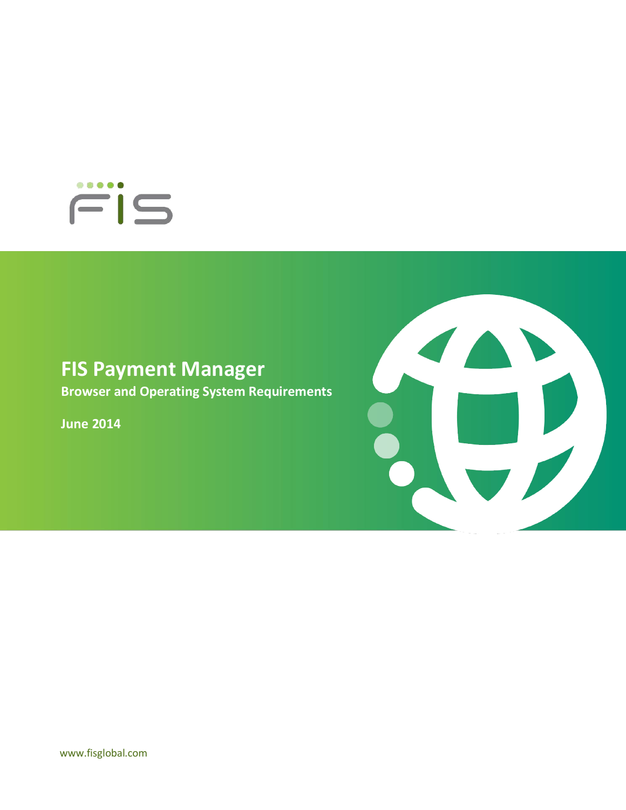

## **FIS Payment Manager**

**Browser and Operating System Requirements**

**June 2014**